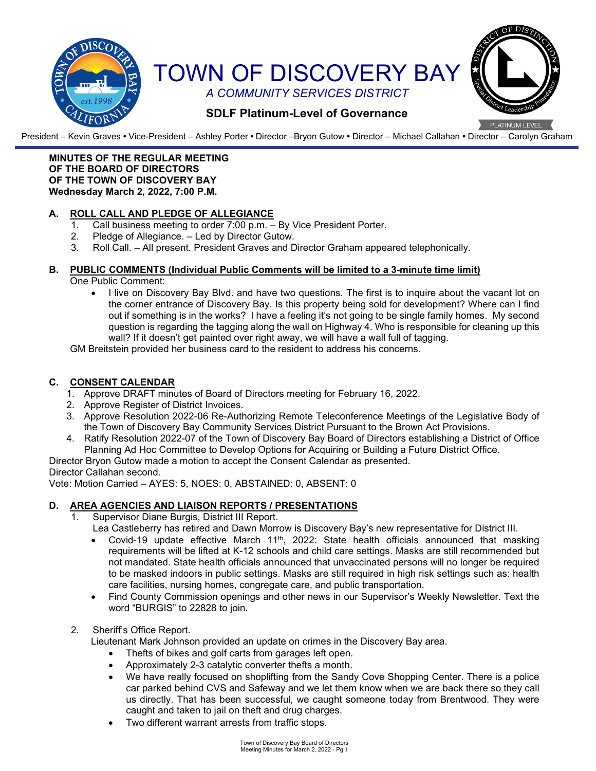

President – Kevin Graves **•** Vice-President – Ashley Porter **•** Director –Bryon Gutow **•** Director – Michael Callahan **•** Director – Carolyn Graham

#### **MINUTES OF THE REGULAR MEETING OF THE BOARD OF DIRECTORS OF THE TOWN OF DISCOVERY BAY Wednesday March 2, 2022, 7:00 P.M.**

# **A. ROLL CALL AND PLEDGE OF ALLEGIANCE**

- 1. Call business meeting to order 7:00 p.m.  $-$  By Vice President Porter.<br>2. Pledge of Allegiance.  $-$  Led by Director Gutow.
- Pledge of Allegiance. Led by Director Gutow.
- 3. Roll Call. All present. President Graves and Director Graham appeared telephonically.

#### **B. PUBLIC COMMENTS (Individual Public Comments will be limited to a 3-minute time limit)**

One Public Comment:

• I live on Discovery Bay Blvd. and have two questions. The first is to inquire about the vacant lot on the corner entrance of Discovery Bay. Is this property being sold for development? Where can I find out if something is in the works? I have a feeling it's not going to be single family homes. My second question is regarding the tagging along the wall on Highway 4. Who is responsible for cleaning up this wall? If it doesn't get painted over right away, we will have a wall full of tagging.

GM Breitstein provided her business card to the resident to address his concerns.

## **C. CONSENT CALENDAR**

- 1. Approve DRAFT minutes of Board of Directors meeting for February 16, 2022.
- 2. Approve Register of District Invoices.
- 3. Approve Resolution 2022-06 Re-Authorizing Remote Teleconference Meetings of the Legislative Body of the Town of Discovery Bay Community Services District Pursuant to the Brown Act Provisions.
- 4. Ratify Resolution 2022-07 of the Town of Discovery Bay Board of Directors establishing a District of Office Planning Ad Hoc Committee to Develop Options for Acquiring or Building a Future District Office.

Director Bryon Gutow made a motion to accept the Consent Calendar as presented.

Director Callahan second.

Vote: Motion Carried – AYES: 5, NOES: 0, ABSTAINED: 0, ABSENT: 0

## **D. AREA AGENCIES AND LIAISON REPORTS / PRESENTATIONS**

- 1. Supervisor Diane Burgis, District III Report.
	- Lea Castleberry has retired and Dawn Morrow is Discovery Bay's new representative for District III.
	- Covid-19 update effective March 11<sup>th</sup>, 2022: State health officials announced that masking requirements will be lifted at K-12 schools and child care settings. Masks are still recommended but not mandated. State health officials announced that unvaccinated persons will no longer be required to be masked indoors in public settings. Masks are still required in high risk settings such as: health care facilities, nursing homes, congregate care, and public transportation.
	- Find County Commission openings and other news in our Supervisor's Weekly Newsletter. Text the word "BURGIS" to 22828 to join.

#### 2. Sheriff's Office Report.

Lieutenant Mark Johnson provided an update on crimes in the Discovery Bay area.

- Thefts of bikes and golf carts from garages left open.
- Approximately 2-3 catalytic converter thefts a month.
- We have really focused on shoplifting from the Sandy Cove Shopping Center. There is a police car parked behind CVS and Safeway and we let them know when we are back there so they call us directly. That has been successful, we caught someone today from Brentwood. They were caught and taken to jail on theft and drug charges.
- Two different warrant arrests from traffic stops.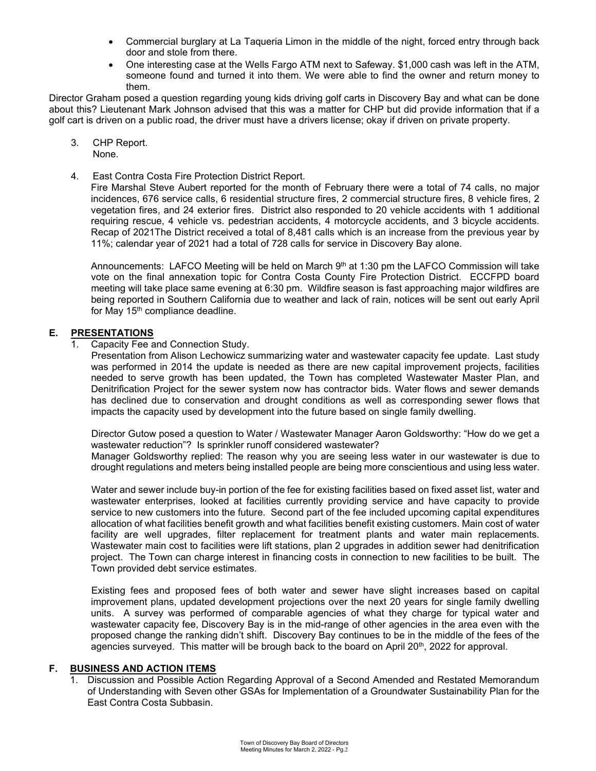- Commercial burglary at La Taqueria Limon in the middle of the night, forced entry through back door and stole from there.
- One interesting case at the Wells Fargo ATM next to Safeway. \$1,000 cash was left in the ATM, someone found and turned it into them. We were able to find the owner and return money to them.

Director Graham posed a question regarding young kids driving golf carts in Discovery Bay and what can be done about this? Lieutenant Mark Johnson advised that this was a matter for CHP but did provide information that if a golf cart is driven on a public road, the driver must have a drivers license; okay if driven on private property.

- 3. CHP Report. None.
- 4. East Contra Costa Fire Protection District Report.

Fire Marshal Steve Aubert reported for the month of February there were a total of 74 calls, no major incidences, 676 service calls, 6 residential structure fires, 2 commercial structure fires, 8 vehicle fires, 2 vegetation fires, and 24 exterior fires. District also responded to 20 vehicle accidents with 1 additional requiring rescue, 4 vehicle vs. pedestrian accidents, 4 motorcycle accidents, and 3 bicycle accidents. Recap of 2021The District received a total of 8,481 calls which is an increase from the previous year by 11%; calendar year of 2021 had a total of 728 calls for service in Discovery Bay alone.

Announcements: LAFCO Meeting will be held on March  $9<sup>th</sup>$  at 1:30 pm the LAFCO Commission will take vote on the final annexation topic for Contra Costa County Fire Protection District. ECCFPD board meeting will take place same evening at 6:30 pm. Wildfire season is fast approaching major wildfires are being reported in Southern California due to weather and lack of rain, notices will be sent out early April for May 15<sup>th</sup> compliance deadline.

#### **E. PRESENTATIONS**

1. Capacity Fee and Connection Study.

Presentation from Alison Lechowicz summarizing water and wastewater capacity fee update. Last study was performed in 2014 the update is needed as there are new capital improvement projects, facilities needed to serve growth has been updated, the Town has completed Wastewater Master Plan, and Denitrification Project for the sewer system now has contractor bids. Water flows and sewer demands has declined due to conservation and drought conditions as well as corresponding sewer flows that impacts the capacity used by development into the future based on single family dwelling.

Director Gutow posed a question to Water / Wastewater Manager Aaron Goldsworthy: "How do we get a wastewater reduction"? Is sprinkler runoff considered wastewater?

Manager Goldsworthy replied: The reason why you are seeing less water in our wastewater is due to drought regulations and meters being installed people are being more conscientious and using less water.

Water and sewer include buy-in portion of the fee for existing facilities based on fixed asset list, water and wastewater enterprises, looked at facilities currently providing service and have capacity to provide service to new customers into the future. Second part of the fee included upcoming capital expenditures allocation of what facilities benefit growth and what facilities benefit existing customers. Main cost of water facility are well upgrades, filter replacement for treatment plants and water main replacements. Wastewater main cost to facilities were lift stations, plan 2 upgrades in addition sewer had denitrification project. The Town can charge interest in financing costs in connection to new facilities to be built. The Town provided debt service estimates.

Existing fees and proposed fees of both water and sewer have slight increases based on capital improvement plans, updated development projections over the next 20 years for single family dwelling units. A survey was performed of comparable agencies of what they charge for typical water and wastewater capacity fee, Discovery Bay is in the mid-range of other agencies in the area even with the proposed change the ranking didn't shift. Discovery Bay continues to be in the middle of the fees of the agencies surveyed. This matter will be brough back to the board on April 20<sup>th</sup>, 2022 for approval.

#### **F. BUSINESS AND ACTION ITEMS**

1. Discussion and Possible Action Regarding Approval of a Second Amended and Restated Memorandum of Understanding with Seven other GSAs for Implementation of a Groundwater Sustainability Plan for the East Contra Costa Subbasin.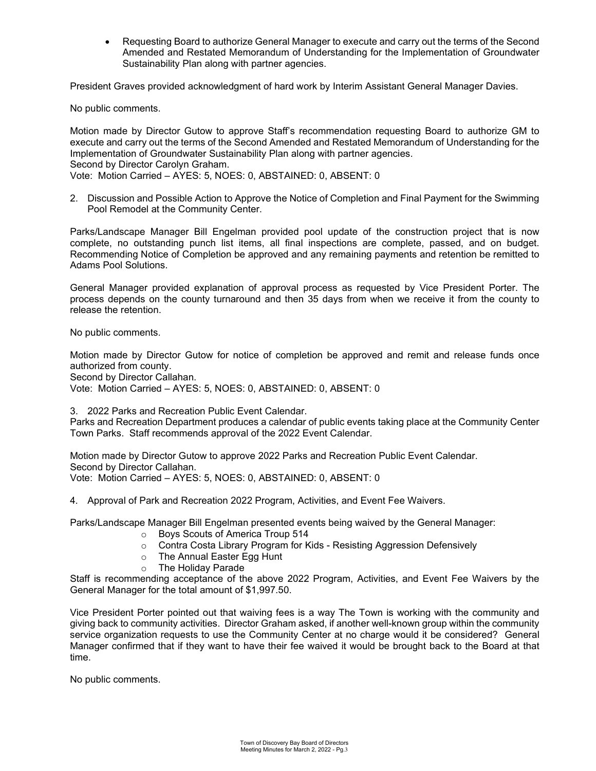• Requesting Board to authorize General Manager to execute and carry out the terms of the Second Amended and Restated Memorandum of Understanding for the Implementation of Groundwater Sustainability Plan along with partner agencies.

President Graves provided acknowledgment of hard work by Interim Assistant General Manager Davies.

No public comments.

Motion made by Director Gutow to approve Staff's recommendation requesting Board to authorize GM to execute and carry out the terms of the Second Amended and Restated Memorandum of Understanding for the Implementation of Groundwater Sustainability Plan along with partner agencies. Second by Director Carolyn Graham. Vote: Motion Carried – AYES: 5, NOES: 0, ABSTAINED: 0, ABSENT: 0

2. Discussion and Possible Action to Approve the Notice of Completion and Final Payment for the Swimming Pool Remodel at the Community Center.

Parks/Landscape Manager Bill Engelman provided pool update of the construction project that is now complete, no outstanding punch list items, all final inspections are complete, passed, and on budget. Recommending Notice of Completion be approved and any remaining payments and retention be remitted to Adams Pool Solutions.

General Manager provided explanation of approval process as requested by Vice President Porter. The process depends on the county turnaround and then 35 days from when we receive it from the county to release the retention.

No public comments.

Motion made by Director Gutow for notice of completion be approved and remit and release funds once authorized from county.

Second by Director Callahan.

Vote: Motion Carried – AYES: 5, NOES: 0, ABSTAINED: 0, ABSENT: 0

3. 2022 Parks and Recreation Public Event Calendar.

Parks and Recreation Department produces a calendar of public events taking place at the Community Center Town Parks. Staff recommends approval of the 2022 Event Calendar.

Motion made by Director Gutow to approve 2022 Parks and Recreation Public Event Calendar. Second by Director Callahan. Vote: Motion Carried – AYES: 5, NOES: 0, ABSTAINED: 0, ABSENT: 0

4. Approval of Park and Recreation 2022 Program, Activities, and Event Fee Waivers.

Parks/Landscape Manager Bill Engelman presented events being waived by the General Manager:

- o Boys Scouts of America Troup 514
- o Contra Costa Library Program for Kids Resisting Aggression Defensively
- $\circ$  The Annual Easter Egg Hunt<br> $\circ$  The Holiday Parade
- **The Holiday Parade**

Staff is recommending acceptance of the above 2022 Program, Activities, and Event Fee Waivers by the General Manager for the total amount of \$1,997.50.

Vice President Porter pointed out that waiving fees is a way The Town is working with the community and giving back to community activities. Director Graham asked, if another well-known group within the community service organization requests to use the Community Center at no charge would it be considered? General Manager confirmed that if they want to have their fee waived it would be brought back to the Board at that time.

No public comments.